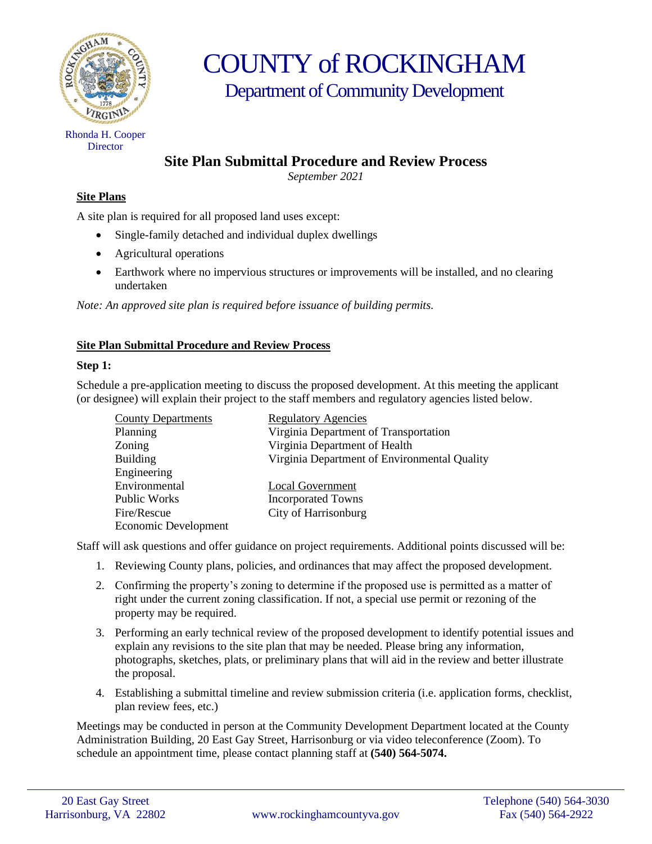

COUNTY of ROCKINGHAM Department of Community Development

Rhonda H. Cooper **Director** 

# **Site Plan Submittal Procedure and Review Process**

*September 2021*

## **Site Plans**

A site plan is required for all proposed land uses except:

- Single-family detached and individual duplex dwellings
- Agricultural operations
- Earthwork where no impervious structures or improvements will be installed, and no clearing undertaken

*Note: An approved site plan is required before issuance of building permits.*

### **Site Plan Submittal Procedure and Review Process**

### **Step 1:**

Schedule a pre-application meeting to discuss the proposed development. At this meeting the applicant (or designee) will explain their project to the staff members and regulatory agencies listed below.

| <b>County Departments</b> | <b>Regulatory Agencies</b>                   |
|---------------------------|----------------------------------------------|
| Planning                  | Virginia Department of Transportation        |
| Zoning                    | Virginia Department of Health                |
| <b>Building</b>           | Virginia Department of Environmental Quality |
| Engineering               |                                              |
| Environmental             | Local Government                             |
| Public Works              | <b>Incorporated Towns</b>                    |
| Fire/Rescue               | City of Harrisonburg                         |
| Economic Development      |                                              |

Staff will ask questions and offer guidance on project requirements. Additional points discussed will be:

- 1. Reviewing County plans, policies, and ordinances that may affect the proposed development.
- 2. Confirming the property's zoning to determine if the proposed use is permitted as a matter of right under the current zoning classification. If not, a special use permit or rezoning of the property may be required.
- 3. Performing an early technical review of the proposed development to identify potential issues and explain any revisions to the site plan that may be needed. Please bring any information, photographs, sketches, plats, or preliminary plans that will aid in the review and better illustrate the proposal.
- 4. Establishing a submittal timeline and review submission criteria (i.e. application forms, checklist, plan review fees, etc.)

Meetings may be conducted in person at the Community Development Department located at the County Administration Building, 20 East Gay Street, Harrisonburg or via video teleconference (Zoom). To schedule an appointment time, please contact planning staff at **(540) 564-5074.**